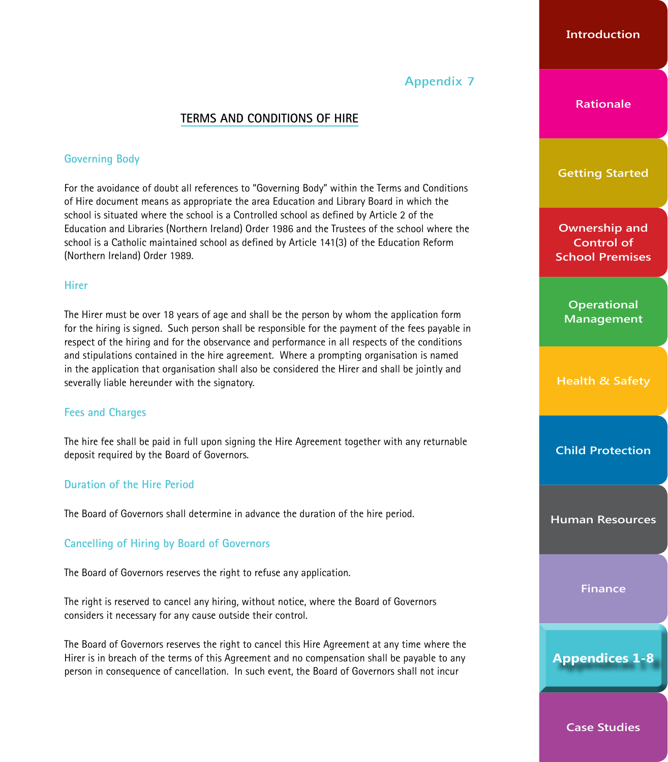

# **ASSUMPTION GRAMMAR SCHOOL TERMS AND CONDITIONS OF HIRE**

## **Governing Body**

For the avoidance of doubt all references to "Governing Body" within the Terms and Conditions of Hire document means the Trustees and Board of Governors of Assumption Grammar School

## **Hirer**

The Hirer must be over 18 years of age and shall be the person by whom the application form for the hiring is signed. Such person shall be responsible for the payment of the fees payable in respect of the hiring and for the observance and performance in all respects of the conditions and stipulations contained in the hire agreement. Where a prompting organisation is named in the application that organisation shall also be considered the Hirer and shall be jointly and severally liable hereunder with the signatory.

## **Fees and Charges**

The hire fee shall be paid either in full upon signing the Hire Agreement or within 10 days of receipt of invoice as per prior agreement with the school

## **Duration of the Hire Period**

The Board of Governors shall determine in advance the duration of the hire period.

## **Cancelling of Hiring by Board of Governors**

The Board of Governors reserves the right to refuse any application.

The right is reserved to cancel any hiring, without notice, where the Board of Governors considers it necessary for any cause outside their control.

The Board of Governors reserves the right to cancel this Hire Agreement at any time where the Hirer is in breach of the terms of this Agreement and no compensation shall be payable to any person in consequence of cancellation. In such event, the Board of Governors shall not incur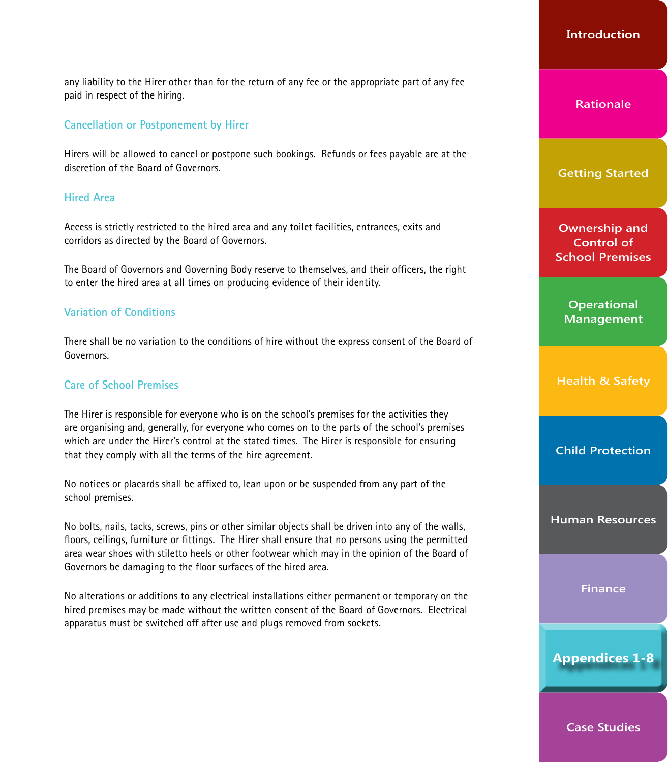any liability to the Hirer other than for the return of any fee or the appropriate part of any fee paid in respect of the hiring.

#### **Cancellation or Postponement by Hirer**

Cancellation(s) of booking(s) by group(s) must adhere to at least one week period of notice, otherwise payment must be made in full. No exceptions made.

#### **Hired Area**

Access is strictly restricted to the hired area and any toilet facilities, entrances, exits and corridors as directed by the Board of Governors.

The Board of Governors and Governing Body reserve to themselves, and their officers, the right to enter the hired area at all times on producing evidence of their identity.

#### **Variation of Conditions**

There shall be no variation to the conditions of hire without the express consent of the Board of Governors.

#### **Care of School Premises**

The Hirer is responsible for everyone who is on the school's premises for the activities they are organising and, generally, for everyone who comes on to the parts of the school's premises which are under the Hirer's control at the stated times. The Hirer is responsible for ensuring that they comply with all the terms of the hire agreement.

No notices or placards shall be affixed to, lean upon or be suspended from any part of the school premises.

No bolts, nails, tacks, screws, pins or other similar objects shall be driven into any of the walls, floors, ceilings, furniture or fittings. The Hirer shall ensure that no persons using the permitted area wear shoes with stiletto heels or other footwear which may in the opinion of the Board of Governors be damaging to the floor surfaces of the hired area.

No alterations or additions to any electrical installations either permanent or temporary on the hired premises may be made without the written consent of the Board of Governors. Electrical apparatus must be switched off after use and plugs removed from sockets.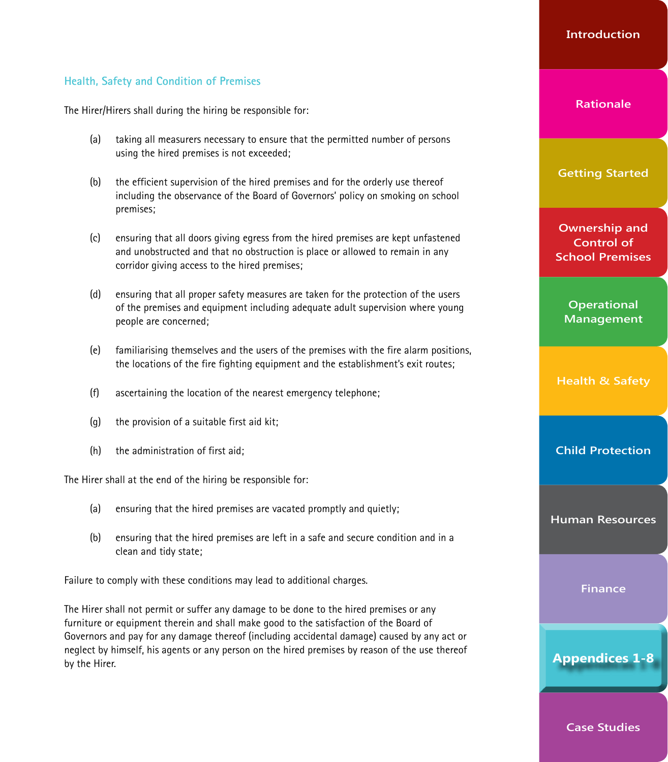## **Health, Safety and Condition of Premises**

The Hirer/Hirers shall during the hiring be responsible for:

- (a) taking all measurers necessary to ensure that the permitted number of persons using the hired premises is not exceeded;
- (b) the efficient supervision of the hired premises and for the orderly use thereof including the observance of the Board of Governors' policy on smoking on school premises;
- (c) ensuring that all doors giving egress from the hired premises are kept unfastened and unobstructed and that no obstruction is place or allowed to remain in any corridor giving access to the hired premises;
- (d) ensuring that all proper safety measures are taken for the protection of the users of the premises and equipment including adequate adult supervision where young people are concerned;
- (e) familiarising themselves and the users of the premises with the fire alarm positions, the locations of the fire fighting equipment and the establishment's exit routes;
- (f) ascertaining the location of the nearest emergency telephone;
- (g) the provision of a suitable first aid kit;
- (h) the administration of first aid;

The Hirer shall at the end of the hiring be responsible for:

- (a) ensuring that the hired premises are vacated promptly and quietly;
- (b) ensuring that the hired premises are left in a safe and secure condition and in a clean and tidy state;

Failure to comply with these conditions may lead to additional charges.

The Hirer shall not permit or suffer any damage to be done to the hired premises or any furniture or equipment therein and shall make good to the satisfaction of the Board of Governors and pay for any damage thereof (including accidental damage) caused by any act or neglect by himself, his agents or any person on the hired premises by reason of the use thereof by the Hirer.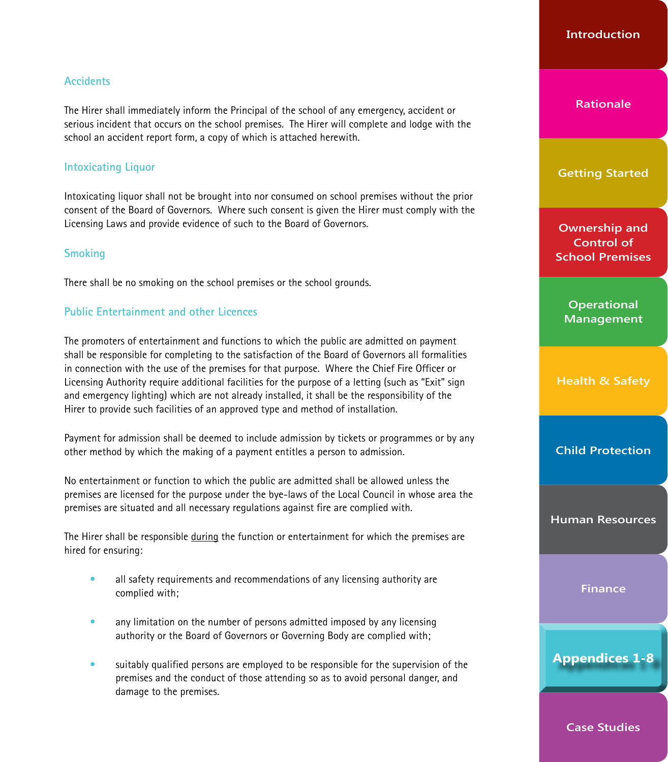## **Accidents**

The Hirer shall immediately inform the Duty Officer of the school of any emergency, accident or serious incident that occurs on the school premises. The Hirer will complete and lodge with the school an accident report form, a copy of which is attached herewith.

## **Intoxicating Liquor**

Intoxicating liquor shall not be brought into nor consumed on school premises or grounds without the prior consent of the Board of Governors.

## **Smoking**

There shall be no smoking on the school premises or the school grounds.

## **Public Entertainment and other Licences**

The promoters of entertainment and functions to which the public are admitted on payment shall be responsible for completing to the satisfaction of the Board of Governors all formalities in connection with the use of the premises for that purpose. Where the Chief Fire Officer or Licensing Authority require additional facilities for the purpose of a letting (such as "Exit" sign and emergency lighting) which are not already installed, it shall be the responsibility of the Hirer to provide such facilities of an approved type and method of installation.

Payment for admission shall be deemed to include admission by tickets or programmes or by any other method by which the making of a payment entitles a person to admission.

No entertainment or function to which the public are admitted shall be allowed unless the premises are licensed for the purpose under the bye-laws of the Local Council in whose area the premises are situated and all necessary regulations against fire are complied with.

The Hirer shall be responsible during the function or entertainment for which the premises are hired for ensuring:

- all safety requirements and recommendations of any licensing authority are complied with;
- any limitation on the number of persons admitted imposed by any licensing authority or the Board of Governors or Governing Body are complied with;
- suitably qualified persons are employed to be responsible for the supervision of the premises and the conduct of those attending so as to avoid personal danger, and damage to the premises.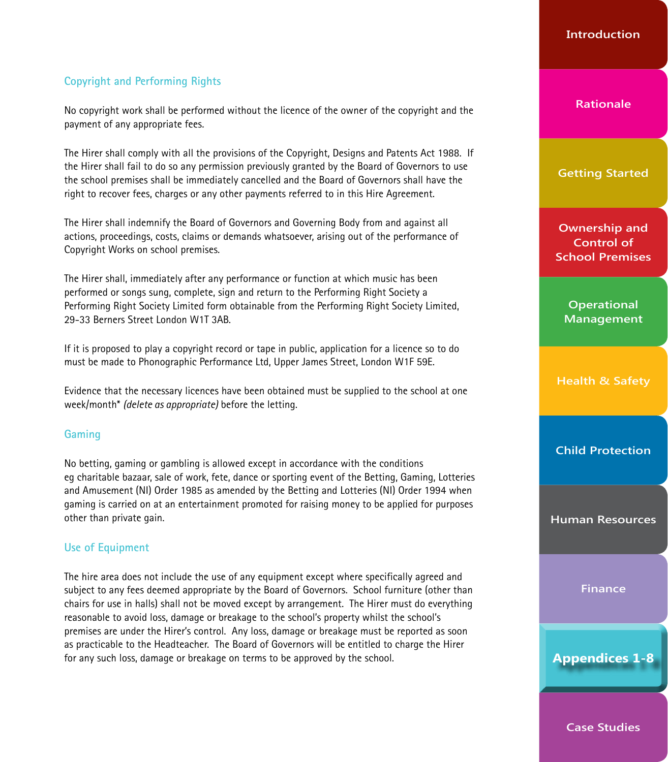# **Copyright and Performing Rights**

No copyright work shall be performed without the licence of the owner of the copyright and the payment of any appropriate fees.

The Hirer shall comply with all the provisions of the Copyright, Designs and Patents Act 1988. If the Hirer shall fail to do so any permission previously granted by the Board of Governors to use the school premises shall be immediately cancelled and the Board of Governors shall have the right to recover fees, charges or any other payments referred to in this Hire Agreement.

The Hirer shall indemnify the Board of Governors and Governing Body from and against all actions, proceedings, costs, claims or demands whatsoever, arising out of the performance of Copyright Works on school premises.

The Hirer shall, immediately after any performance or function at which music has been performed or songs sung, complete, sign and return to the Performing Right Society a Performing Right Society Limited form obtainable from the Performing Right Society Limited, 29-33 Berners Street London W1T 3AB.

If it is proposed to play a copyright record or tape in public, application for a licence so to do must be made to Phonographic Performance Ltd, Upper James Street, London W1F 59E.

Evidence that the necessary licences have been obtained must be supplied to the school at one week/month\* *(delete as appropriate)* before the letting.

## **Gaming**

No betting, gaming or gambling is allowed except in accordance with the conditions eg charitable bazaar, sale of work, fete, dance or sporting event of the Betting, Gaming, Lotteries and Amusement (NI) Order 1985 as amended by the Betting and Lotteries (NI) Order 1994 when gaming is carried on at an entertainment promoted for raising money to be applied for purposes other than private gain.

## **Use of Equipment**

The hire area does not include the use of any equipment except where specifically agreed and subject to any fees deemed appropriate by the Board of Governors. School furniture (other than chairs for use in halls) shall not be moved except by arrangement. The Hirer must do everything reasonable to avoid loss, damage or breakage to the school's property whilst the school's premises are under the Hirer's control. Any loss, damage or breakage must be reported as soon as practicable to the Headteacher. The Board of Governors will be entitled to charge the Hirer for any such loss, damage or breakage on terms to be approved by the school.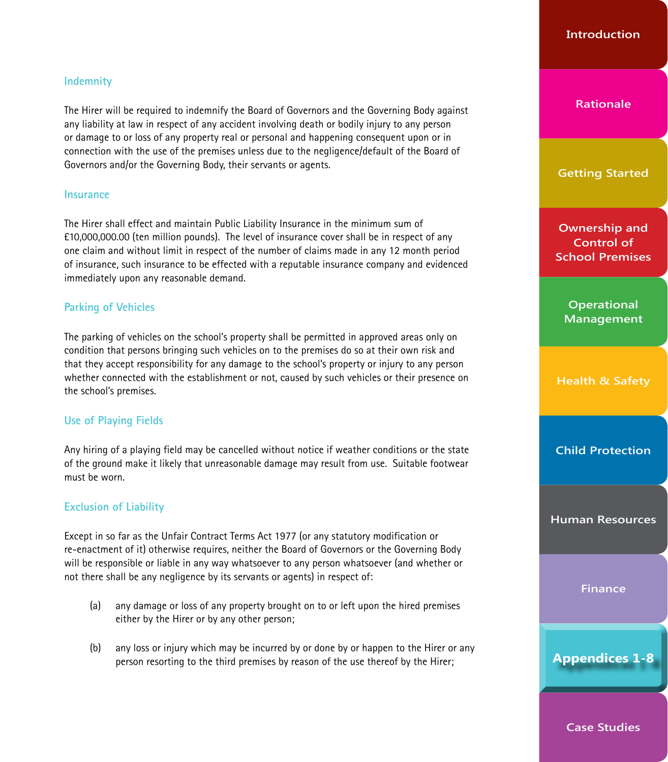## **Indemnity**

The Hirer will be required to indemnify the Board of Governors and the Governing Body against any liability at law in respect of any accident involving death or bodily injury to any person or damage to or loss of any property real or personal and happening consequent upon or in connection with the use of the premises unless due to the negligence/default of the Board of Governors and/or the Governing Body, their servants or agents.

#### **Insurance**

The Hirer shall effect and maintain Public Liability Insurance in the minimum sum of £10,000,000.00 (ten million pounds). The level of insurance cover shall be in respect of any one claim and without limit in respect of the number of claims made in any 12 month period of insurance, such insurance to be effected with a reputable insurance company and evidenced immediately upon any reasonable demand.

## **Parking of Vehicles**

The parking of vehicles on the school's property shall be permitted in approved areas only on condition that persons bringing such vehicles on to the premises do so at their own risk and that they accept responsibility for any damage to the school's property or injury to any person whether connected with the establishment or not, caused by such vehicles or their presence on the school's premises.

## **Use of Playing Fields**

Any hiring of a playing field may be cancelled without notice if weather conditions or the state of the ground make it likely that unreasonable damage may result from use. Suitable footwear must be worn.

## **Exclusion of Liability**

Except in so far as the Unfair Contract Terms Act 1977 (or any statutory modification or re-enactment of it) otherwise requires, neither the Board of Governors or the Governing Body will be responsible or liable in any way whatsoever to any person whatsoever (and whether or not there shall be any negligence by its servants or agents) in respect of:

- (a) any damage or loss of any property brought on to or left upon the hired premises either by the Hirer or by any other person;
- (b) any loss or injury which may be incurred by or done by or happen to the Hirer or any person resorting to the third premises by reason of the use thereof by the Hirer;